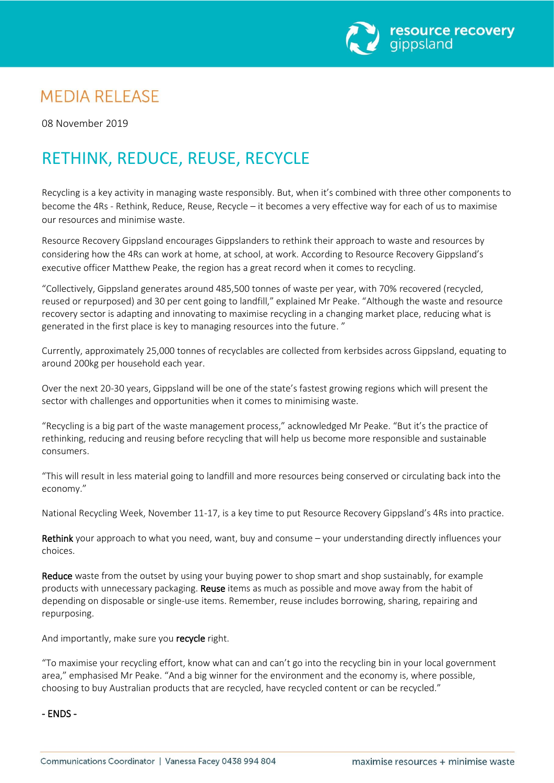

## **MEDIA RELEASE**

08 November 2019

# RETHINK, REDUCE, REUSE, RECYCLE

Recycling is a key activity in managing waste responsibly. But, when it's combined with three other components to become the 4Rs - Rethink, Reduce, Reuse, Recycle – it becomes a very effective way for each of us to maximise our resources and minimise waste.

Resource Recovery Gippsland encourages Gippslanders to rethink their approach to waste and resources by considering how the 4Rs can work at home, at school, at work. According to Resource Recovery Gippsland's executive officer Matthew Peake, the region has a great record when it comes to recycling.

"Collectively, Gippsland generates around 485,500 tonnes of waste per year, with 70% recovered (recycled, reused or repurposed) and 30 per cent going to landfill," explained Mr Peake. "Although the waste and resource recovery sector is adapting and innovating to maximise recycling in a changing market place, reducing what is generated in the first place is key to managing resources into the future. "

Currently, approximately 25,000 tonnes of recyclables are collected from kerbsides across Gippsland, equating to around 200kg per household each year.

Over the next 20-30 years, Gippsland will be one of the state's fastest growing regions which will present the sector with challenges and opportunities when it comes to minimising waste.

"Recycling is a big part of the waste management process," acknowledged Mr Peake. "But it's the practice of rethinking, reducing and reusing before recycling that will help us become more responsible and sustainable consumers.

"This will result in less material going to landfill and more resources being conserved or circulating back into the economy."

National Recycling Week, November 11-17, is a key time to put Resource Recovery Gippsland's 4Rs into practice.

Rethink your approach to what you need, want, buy and consume – your understanding directly influences your choices.

Reduce waste from the outset by using your buying power to shop smart and shop sustainably, for example products with unnecessary packaging. Reuse items as much as possible and move away from the habit of depending on disposable or single-use items. Remember, reuse includes borrowing, sharing, repairing and repurposing.

And importantly, make sure you recycle right.

"To maximise your recycling effort, know what can and can't go into the recycling bin in your local government area," emphasised Mr Peake. "And a big winner for the environment and the economy is, where possible, choosing to buy Australian products that are recycled, have recycled content or can be recycled."

### - ENDS -